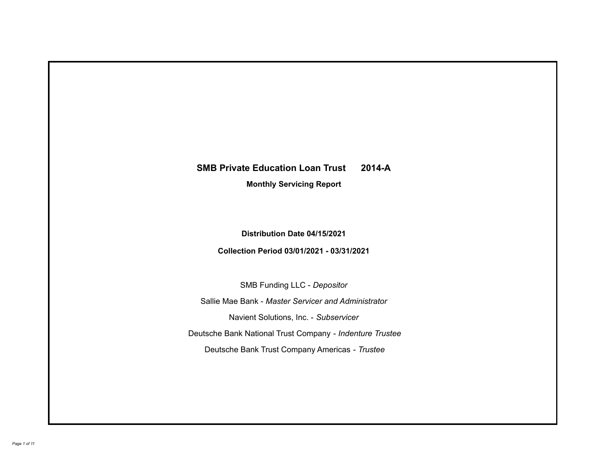## **SMB Private Education Loan Trust 2014-A**

**Monthly Servicing Report**

**Distribution Date 04/15/2021**

**Collection Period 03/01/2021 - 03/31/2021**

SMB Funding LLC - *Depositor*

Sallie Mae Bank - *Master Servicer and Administrator*

Navient Solutions, Inc. - *Subservicer*

Deutsche Bank National Trust Company - *Indenture Trustee*

Deutsche Bank Trust Company Americas - *Trustee*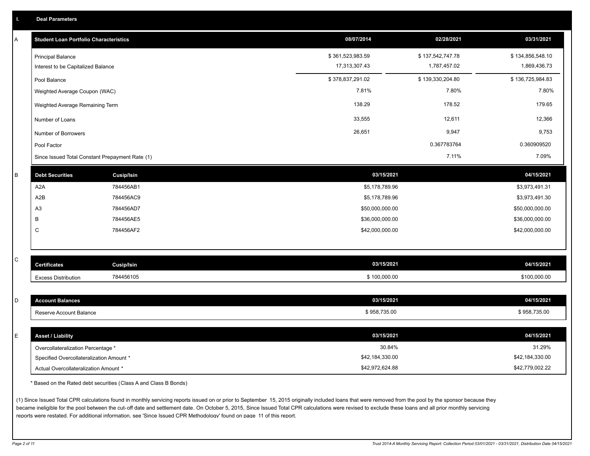| A         | <b>Student Loan Portfolio Characteristics</b>   |                   | 08/07/2014       | 02/28/2021       | 03/31/2021       |
|-----------|-------------------------------------------------|-------------------|------------------|------------------|------------------|
|           | <b>Principal Balance</b>                        |                   | \$361,523,983.59 | \$137,542,747.78 | \$134,856,548.10 |
|           | Interest to be Capitalized Balance              |                   | 17,313,307.43    | 1,787,457.02     | 1,869,436.73     |
|           | Pool Balance                                    |                   | \$378,837,291.02 | \$139,330,204.80 | \$136,725,984.83 |
|           | Weighted Average Coupon (WAC)                   |                   | 7.81%            | 7.80%            | 7.80%            |
|           | Weighted Average Remaining Term                 |                   | 138.29           | 178.52           | 179.65           |
|           | Number of Loans                                 |                   | 33,555           | 12,611           | 12,366           |
|           | Number of Borrowers                             |                   | 26,651           | 9,947            | 9,753            |
|           | Pool Factor                                     |                   |                  | 0.367783764      | 0.360909520      |
|           | Since Issued Total Constant Prepayment Rate (1) |                   |                  | 7.11%            | 7.09%            |
| B         | <b>Debt Securities</b>                          | <b>Cusip/Isin</b> | 03/15/2021       |                  | 04/15/2021       |
|           | A <sub>2</sub> A                                | 784456AB1         | \$5,178,789.96   |                  | \$3,973,491.31   |
|           | A2B                                             | 784456AC9         | \$5,178,789.96   |                  | \$3,973,491.30   |
|           | A <sub>3</sub>                                  | 784456AD7         | \$50,000,000.00  |                  | \$50,000,000.00  |
|           | B                                               | 784456AE5         | \$36,000,000.00  |                  | \$36,000,000.00  |
|           | $\mathsf C$                                     | 784456AF2         | \$42,000,000.00  |                  | \$42,000,000.00  |
|           |                                                 |                   |                  |                  |                  |
| ${\bf C}$ |                                                 |                   |                  |                  |                  |
|           | <b>Certificates</b>                             | Cusip/Isin        | 03/15/2021       |                  | 04/15/2021       |
|           | <b>Excess Distribution</b>                      | 784456105         | \$100,000.00     |                  | \$100,000.00     |
|           |                                                 |                   | 03/15/2021       |                  |                  |
| D         | <b>Account Balances</b>                         |                   |                  |                  | 04/15/2021       |
|           | Reserve Account Balance                         |                   | \$958,735.00     |                  | \$958,735.00     |
| E         | <b>Asset / Liability</b>                        |                   | 03/15/2021       |                  | 04/15/2021       |
|           | Overcollateralization Percentage *              |                   |                  | 30.84%           | 31.29%           |
|           | Specified Overcollateralization Amount *        |                   | \$42,184,330.00  |                  | \$42,184,330.00  |
|           | Actual Overcollateralization Amount *           |                   | \$42,972,624.88  |                  | \$42,779,002.22  |
|           |                                                 |                   |                  |                  |                  |

\* Based on the Rated debt securities (Class A and Class B Bonds)

(1) Since Issued Total CPR calculations found in monthly servicing reports issued on or prior to September 15, 2015 originally included loans that were removed from the pool by the sponsor because they became ineligible for the pool between the cut-off date and settlement date. On October 5, 2015, Since Issued Total CPR calculations were revised to exclude these loans and all prior monthly servicing reports were restated. For additional information, see 'Since Issued CPR Methodology' found on page 11 of this report.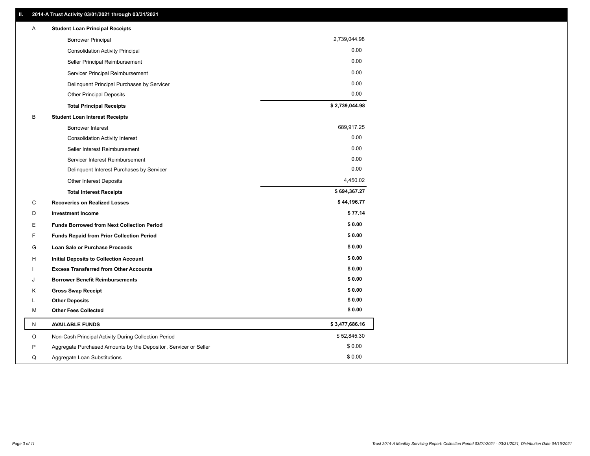| 2,739,044.98<br><b>Borrower Principal</b><br>0.00<br><b>Consolidation Activity Principal</b><br>0.00<br>Seller Principal Reimbursement<br>0.00<br>Servicer Principal Reimbursement<br>0.00<br>Delinquent Principal Purchases by Servicer<br>0.00<br><b>Other Principal Deposits</b><br>\$2,739,044.98<br><b>Total Principal Receipts</b><br>B<br><b>Student Loan Interest Receipts</b><br>689,917.25<br><b>Borrower Interest</b> |  |
|----------------------------------------------------------------------------------------------------------------------------------------------------------------------------------------------------------------------------------------------------------------------------------------------------------------------------------------------------------------------------------------------------------------------------------|--|
|                                                                                                                                                                                                                                                                                                                                                                                                                                  |  |
|                                                                                                                                                                                                                                                                                                                                                                                                                                  |  |
|                                                                                                                                                                                                                                                                                                                                                                                                                                  |  |
|                                                                                                                                                                                                                                                                                                                                                                                                                                  |  |
|                                                                                                                                                                                                                                                                                                                                                                                                                                  |  |
|                                                                                                                                                                                                                                                                                                                                                                                                                                  |  |
|                                                                                                                                                                                                                                                                                                                                                                                                                                  |  |
|                                                                                                                                                                                                                                                                                                                                                                                                                                  |  |
|                                                                                                                                                                                                                                                                                                                                                                                                                                  |  |
| 0.00<br><b>Consolidation Activity Interest</b>                                                                                                                                                                                                                                                                                                                                                                                   |  |
| 0.00<br>Seller Interest Reimbursement                                                                                                                                                                                                                                                                                                                                                                                            |  |
| 0.00<br>Servicer Interest Reimbursement                                                                                                                                                                                                                                                                                                                                                                                          |  |
| 0.00<br>Delinquent Interest Purchases by Servicer                                                                                                                                                                                                                                                                                                                                                                                |  |
| 4,450.02<br>Other Interest Deposits                                                                                                                                                                                                                                                                                                                                                                                              |  |
| \$694,367.27<br><b>Total Interest Receipts</b>                                                                                                                                                                                                                                                                                                                                                                                   |  |
| \$44,196.77<br>С<br><b>Recoveries on Realized Losses</b>                                                                                                                                                                                                                                                                                                                                                                         |  |
| \$77.14<br>D<br><b>Investment Income</b>                                                                                                                                                                                                                                                                                                                                                                                         |  |
| \$0.00<br>E<br><b>Funds Borrowed from Next Collection Period</b>                                                                                                                                                                                                                                                                                                                                                                 |  |
| \$0.00<br>F<br><b>Funds Repaid from Prior Collection Period</b>                                                                                                                                                                                                                                                                                                                                                                  |  |
| \$0.00<br>G<br>Loan Sale or Purchase Proceeds                                                                                                                                                                                                                                                                                                                                                                                    |  |
| \$0.00<br>Initial Deposits to Collection Account<br>н                                                                                                                                                                                                                                                                                                                                                                            |  |
| \$0.00<br><b>Excess Transferred from Other Accounts</b>                                                                                                                                                                                                                                                                                                                                                                          |  |
| \$0.00<br><b>Borrower Benefit Reimbursements</b><br>J                                                                                                                                                                                                                                                                                                                                                                            |  |
| \$0.00<br>Κ<br><b>Gross Swap Receipt</b>                                                                                                                                                                                                                                                                                                                                                                                         |  |
| \$0.00<br><b>Other Deposits</b><br>L                                                                                                                                                                                                                                                                                                                                                                                             |  |
| \$0.00<br><b>Other Fees Collected</b><br>М                                                                                                                                                                                                                                                                                                                                                                                       |  |
| \$3,477,686.16<br><b>AVAILABLE FUNDS</b><br>N                                                                                                                                                                                                                                                                                                                                                                                    |  |
| \$52,845.30<br>O<br>Non-Cash Principal Activity During Collection Period                                                                                                                                                                                                                                                                                                                                                         |  |
| \$0.00<br>P<br>Aggregate Purchased Amounts by the Depositor, Servicer or Seller                                                                                                                                                                                                                                                                                                                                                  |  |
| \$0.00<br>Q<br>Aggregate Loan Substitutions                                                                                                                                                                                                                                                                                                                                                                                      |  |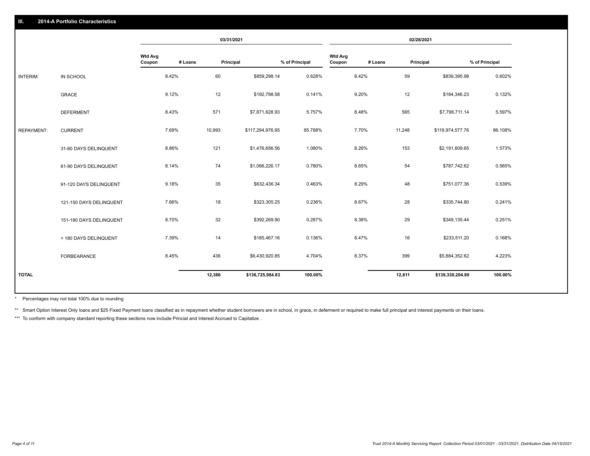|                   |                         |                          |         | 03/31/2021 |                  |                |                          |         | 02/28/2021 |                  |                |
|-------------------|-------------------------|--------------------------|---------|------------|------------------|----------------|--------------------------|---------|------------|------------------|----------------|
|                   |                         | <b>Wtd Avg</b><br>Coupon | # Loans | Principal  |                  | % of Principal | <b>Wtd Avg</b><br>Coupon | # Loans | Principal  |                  | % of Principal |
| <b>INTERIM:</b>   | IN SCHOOL               |                          | 8.42%   | 60         | \$859,298.14     | 0.628%         |                          | 8.42%   | 59         | \$839,395.98     | 0.602%         |
|                   | <b>GRACE</b>            |                          | 9.12%   | 12         | \$192,798.58     | 0.141%         |                          | 9.20%   | 12         | \$184,346.23     | 0.132%         |
|                   | <b>DEFERMENT</b>        |                          | 8.43%   | 571        | \$7,871,628.93   | 5.757%         |                          | 8.48%   | 565        | \$7,798,711.14   | 5.597%         |
| <b>REPAYMENT:</b> | <b>CURRENT</b>          |                          | 7.69%   | 10,993     | \$117,294,976.95 | 85.788%        |                          | 7.70%   | 11,248     | \$119,974,577.76 | 86.108%        |
|                   | 31-60 DAYS DELINQUENT   |                          | 8.86%   | 121        | \$1,476,656.56   | 1.080%         |                          | 8.26%   | 153        | \$2,191,609.65   | 1.573%         |
|                   | 61-90 DAYS DELINQUENT   |                          | 8.14%   | 74         | \$1,066,226.17   | 0.780%         |                          | 8.65%   | 54         | \$787,742.62     | 0.565%         |
|                   | 91-120 DAYS DELINQUENT  |                          | 9.18%   | 35         | \$632,436.34     | 0.463%         |                          | 8.29%   | 48         | \$751,077.36     | 0.539%         |
|                   | 121-150 DAYS DELINQUENT |                          | 7.66%   | 18         | \$323,305.25     | 0.236%         |                          | 8.67%   | 28         | \$335,744.80     | 0.241%         |
|                   | 151-180 DAYS DELINQUENT |                          | 8.70%   | 32         | \$392,269.90     | 0.287%         |                          | 8.38%   | 29         | \$349,135.44     | 0.251%         |
|                   | > 180 DAYS DELINQUENT   |                          | 7.39%   | 14         | \$185,467.16     | 0.136%         |                          | 8.47%   | 16         | \$233,511.20     | 0.168%         |
|                   | <b>FORBEARANCE</b>      |                          | 8.45%   | 436        | \$6,430,920.85   | 4.704%         |                          | 8.37%   | 399        | \$5,884,352.62   | 4.223%         |
| <b>TOTAL</b>      |                         |                          |         | 12,366     | \$136,725,984.83 | 100.00%        |                          |         | 12,611     | \$139,330,204.80 | 100.00%        |
|                   |                         |                          |         |            |                  |                |                          |         |            |                  |                |

Percentages may not total 100% due to rounding \*

\*\* Smart Option Interest Only loans and \$25 Fixed Payment loans classified as in repayment whether student borrowers are in school, in grace, in deferment or required to make full principal and interest payments on their l

\*\*\* To conform with company standard reporting these sections now include Princial and Interest Accrued to Capitalize .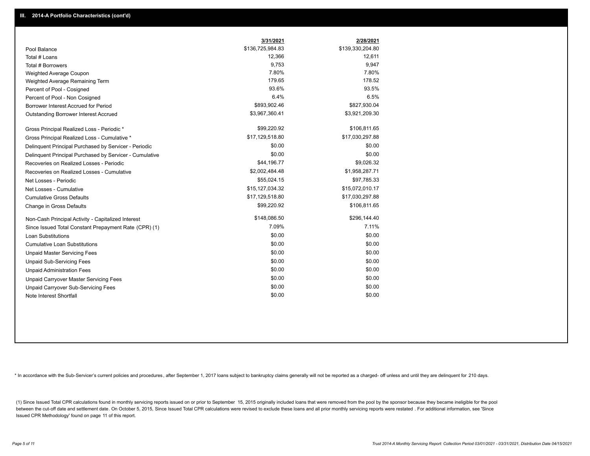|                                                         | 3/31/2021        | 2/28/2021        |
|---------------------------------------------------------|------------------|------------------|
| Pool Balance                                            | \$136,725,984.83 | \$139,330,204.80 |
| Total # Loans                                           | 12,366           | 12,611           |
| Total # Borrowers                                       | 9,753            | 9,947            |
| Weighted Average Coupon                                 | 7.80%            | 7.80%            |
| Weighted Average Remaining Term                         | 179.65           | 178.52           |
| Percent of Pool - Cosigned                              | 93.6%            | 93.5%            |
| Percent of Pool - Non Cosigned                          | 6.4%             | 6.5%             |
| Borrower Interest Accrued for Period                    | \$893,902.46     | \$827,930.04     |
| Outstanding Borrower Interest Accrued                   | \$3,967,360.41   | \$3,921,209.30   |
| Gross Principal Realized Loss - Periodic *              | \$99,220.92      | \$106,811.65     |
| Gross Principal Realized Loss - Cumulative *            | \$17,129,518.80  | \$17,030,297.88  |
| Delinquent Principal Purchased by Servicer - Periodic   | \$0.00           | \$0.00           |
| Delinquent Principal Purchased by Servicer - Cumulative | \$0.00           | \$0.00           |
| Recoveries on Realized Losses - Periodic                | \$44,196.77      | \$9,026.32       |
| Recoveries on Realized Losses - Cumulative              | \$2,002,484.48   | \$1,958,287.71   |
| Net Losses - Periodic                                   | \$55,024.15      | \$97,785.33      |
| Net Losses - Cumulative                                 | \$15,127,034.32  | \$15,072,010.17  |
| <b>Cumulative Gross Defaults</b>                        | \$17,129,518.80  | \$17,030,297.88  |
| Change in Gross Defaults                                | \$99,220.92      | \$106,811.65     |
| Non-Cash Principal Activity - Capitalized Interest      | \$148,086.50     | \$296,144.40     |
| Since Issued Total Constant Prepayment Rate (CPR) (1)   | 7.09%            | 7.11%            |
| <b>Loan Substitutions</b>                               | \$0.00           | \$0.00           |
| <b>Cumulative Loan Substitutions</b>                    | \$0.00           | \$0.00           |
| <b>Unpaid Master Servicing Fees</b>                     | \$0.00           | \$0.00           |
| <b>Unpaid Sub-Servicing Fees</b>                        | \$0.00           | \$0.00           |
| <b>Unpaid Administration Fees</b>                       | \$0.00           | \$0.00           |
| Unpaid Carryover Master Servicing Fees                  | \$0.00           | \$0.00           |
| Unpaid Carryover Sub-Servicing Fees                     | \$0.00           | \$0.00           |
| Note Interest Shortfall                                 | \$0.00           | \$0.00           |

\* In accordance with the Sub-Servicer's current policies and procedures, after September 1, 2017 loans subject to bankruptcy claims generally will not be reported as a charged- off unless and until they are delinquent for

(1) Since Issued Total CPR calculations found in monthly servicing reports issued on or prior to September 15, 2015 originally included loans that were removed from the pool by the sponsor because they became ineligible fo between the cut-off date and settlement date. On October 5, 2015, Since Issued Total CPR calculations were revised to exclude these loans and all prior monthly servicing reports were restated. For additional information, s Issued CPR Methodology' found on page 11 of this report.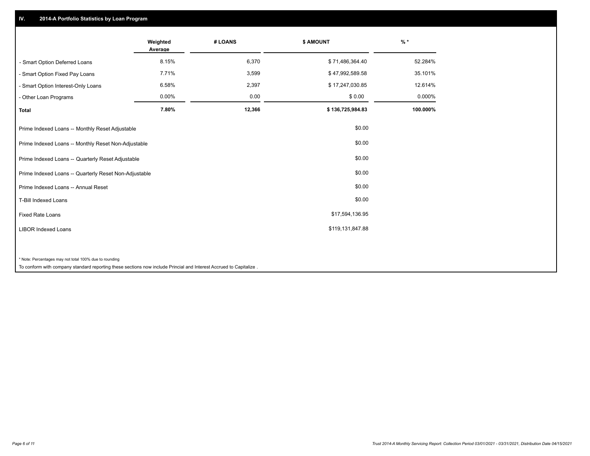## **IV. 2014-A Portfolio Statistics by Loan Program**

|                                                                                                                                                                              | Weighted<br>Average | # LOANS | \$ AMOUNT        | $%$ *    |
|------------------------------------------------------------------------------------------------------------------------------------------------------------------------------|---------------------|---------|------------------|----------|
| - Smart Option Deferred Loans                                                                                                                                                | 8.15%               | 6,370   | \$71,486,364.40  | 52.284%  |
| - Smart Option Fixed Pay Loans                                                                                                                                               | 7.71%               | 3,599   | \$47,992,589.58  | 35.101%  |
| - Smart Option Interest-Only Loans                                                                                                                                           | 6.58%               | 2,397   | \$17,247,030.85  | 12.614%  |
| - Other Loan Programs                                                                                                                                                        | 0.00%               | 0.00    | \$0.00           | 0.000%   |
| <b>Total</b>                                                                                                                                                                 | 7.80%               | 12,366  | \$136,725,984.83 | 100.000% |
| Prime Indexed Loans -- Monthly Reset Adjustable                                                                                                                              |                     |         | \$0.00           |          |
| Prime Indexed Loans -- Monthly Reset Non-Adjustable                                                                                                                          |                     |         | \$0.00           |          |
| Prime Indexed Loans -- Quarterly Reset Adjustable                                                                                                                            |                     |         | \$0.00           |          |
| Prime Indexed Loans -- Quarterly Reset Non-Adjustable                                                                                                                        |                     |         | \$0.00           |          |
| Prime Indexed Loans -- Annual Reset                                                                                                                                          |                     |         | \$0.00           |          |
| <b>T-Bill Indexed Loans</b>                                                                                                                                                  |                     |         | \$0.00           |          |
| <b>Fixed Rate Loans</b>                                                                                                                                                      |                     |         | \$17,594,136.95  |          |
| <b>LIBOR Indexed Loans</b>                                                                                                                                                   |                     |         | \$119,131,847.88 |          |
| * Note: Percentages may not total 100% due to rounding<br>To conform with company standard reporting these sections now include Princial and Interest Accrued to Capitalize. |                     |         |                  |          |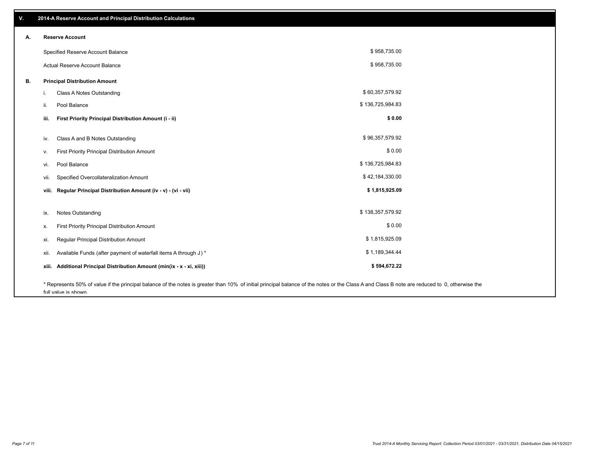| ٧. | 2014-A Reserve Account and Principal Distribution Calculations                                                                                                                                |                  |  |
|----|-----------------------------------------------------------------------------------------------------------------------------------------------------------------------------------------------|------------------|--|
| А. | <b>Reserve Account</b>                                                                                                                                                                        |                  |  |
|    | Specified Reserve Account Balance                                                                                                                                                             | \$958,735.00     |  |
|    | <b>Actual Reserve Account Balance</b>                                                                                                                                                         | \$958,735.00     |  |
| В. | <b>Principal Distribution Amount</b>                                                                                                                                                          |                  |  |
|    | Class A Notes Outstanding<br>i.                                                                                                                                                               | \$60,357,579.92  |  |
|    | Pool Balance<br>ii.                                                                                                                                                                           | \$136,725,984.83 |  |
|    | First Priority Principal Distribution Amount (i - ii)<br>iii.                                                                                                                                 | \$0.00           |  |
|    | Class A and B Notes Outstanding<br>iv.                                                                                                                                                        | \$96,357,579.92  |  |
|    | First Priority Principal Distribution Amount<br>v.                                                                                                                                            | \$0.00           |  |
|    | Pool Balance<br>vi.                                                                                                                                                                           | \$136,725,984.83 |  |
|    | Specified Overcollateralization Amount<br>vii.                                                                                                                                                | \$42,184,330.00  |  |
|    | viii. Regular Principal Distribution Amount (iv - v) - (vi - vii)                                                                                                                             | \$1,815,925.09   |  |
|    |                                                                                                                                                                                               |                  |  |
|    | <b>Notes Outstanding</b><br>ix.                                                                                                                                                               | \$138,357,579.92 |  |
|    | First Priority Principal Distribution Amount<br>х.                                                                                                                                            | \$0.00           |  |
|    | Regular Principal Distribution Amount<br>xi.                                                                                                                                                  | \$1,815,925.09   |  |
|    | Available Funds (after payment of waterfall items A through J) *<br>xii.                                                                                                                      | \$1,189,344.44   |  |
|    | Additional Principal Distribution Amount (min(ix - x - xi, xiii))<br>xiii.                                                                                                                    | \$594,672.22     |  |
|    | * Represents 50% of value if the principal balance of the notes is greater than 10% of initial principal balance of the notes or the Class A and Class B note are reduced to 0, otherwise the |                  |  |

full value is shown.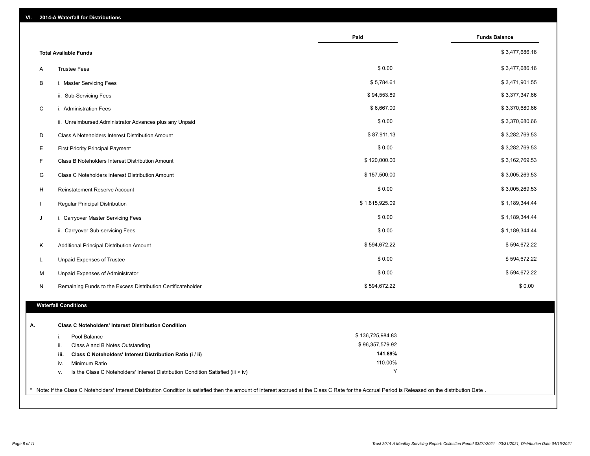| VI. | 2014-A Waterfall for Distributions                                                                                                                                                                    |                    |                      |
|-----|-------------------------------------------------------------------------------------------------------------------------------------------------------------------------------------------------------|--------------------|----------------------|
|     |                                                                                                                                                                                                       | Paid               | <b>Funds Balance</b> |
|     | <b>Total Available Funds</b>                                                                                                                                                                          |                    | \$3,477,686.16       |
| Α   | <b>Trustee Fees</b>                                                                                                                                                                                   | \$0.00             | \$3,477,686.16       |
| В   | i. Master Servicing Fees                                                                                                                                                                              | \$5,784.61         | \$3,471,901.55       |
|     | ii. Sub-Servicing Fees                                                                                                                                                                                | \$94,553.89        | \$3,377,347.66       |
| C   | i. Administration Fees                                                                                                                                                                                | \$6,667.00         | \$3,370,680.66       |
|     | ii. Unreimbursed Administrator Advances plus any Unpaid                                                                                                                                               | \$0.00             | \$3,370,680.66       |
| D   | Class A Noteholders Interest Distribution Amount                                                                                                                                                      | \$87,911.13        | \$3,282,769.53       |
| E   | <b>First Priority Principal Payment</b>                                                                                                                                                               | \$0.00             | \$3,282,769.53       |
| F   | Class B Noteholders Interest Distribution Amount                                                                                                                                                      | \$120,000.00       | \$3,162,769.53       |
| G   | Class C Noteholders Interest Distribution Amount                                                                                                                                                      | \$157,500.00       | \$3,005,269.53       |
| H   | Reinstatement Reserve Account                                                                                                                                                                         | \$0.00             | \$3,005,269.53       |
|     | Regular Principal Distribution                                                                                                                                                                        | \$1,815,925.09     | \$1,189,344.44       |
| J   | i. Carryover Master Servicing Fees                                                                                                                                                                    | \$0.00             | \$1,189,344.44       |
|     | ii. Carryover Sub-servicing Fees                                                                                                                                                                      | \$0.00             | \$1,189,344.44       |
| K   | Additional Principal Distribution Amount                                                                                                                                                              | \$594,672.22       | \$594,672.22         |
| L   | Unpaid Expenses of Trustee                                                                                                                                                                            | \$0.00             | \$594,672.22         |
| М   | Unpaid Expenses of Administrator                                                                                                                                                                      | \$0.00             | \$594,672.22         |
| N   | Remaining Funds to the Excess Distribution Certificateholder                                                                                                                                          | \$594,672.22       | \$0.00               |
|     | <b>Waterfall Conditions</b>                                                                                                                                                                           |                    |                      |
|     |                                                                                                                                                                                                       |                    |                      |
| А.  | <b>Class C Noteholders' Interest Distribution Condition</b>                                                                                                                                           |                    |                      |
|     | Pool Balance<br>j.                                                                                                                                                                                    | \$136,725,984.83   |                      |
|     | Class A and B Notes Outstanding<br>ii.                                                                                                                                                                | \$96,357,579.92    |                      |
|     | Class C Noteholders' Interest Distribution Ratio (i / ii)<br>iii.                                                                                                                                     | 141.89%<br>110.00% |                      |
|     | Minimum Ratio<br>iv.                                                                                                                                                                                  | Y                  |                      |
|     | Is the Class C Noteholders' Interest Distribution Condition Satisfied (iii > iv)<br>v.                                                                                                                |                    |                      |
|     | * Note: If the Class C Noteholders' Interest Distribution Condition is satisfied then the amount of interest accrued at the Class C Rate for the Accrual Period is Released on the distribution Date. |                    |                      |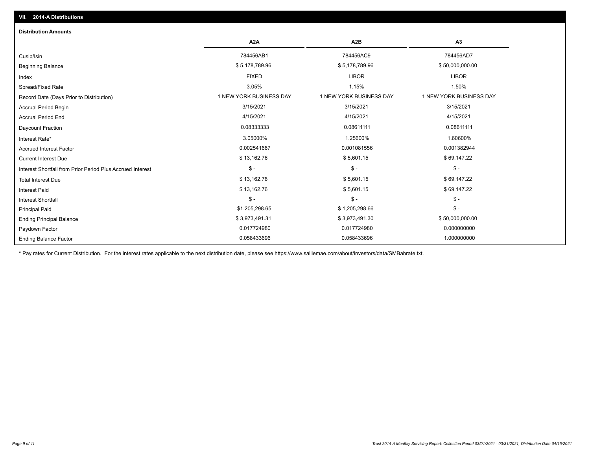| <b>Distribution Amounts</b>                                |                         |                         |                         |
|------------------------------------------------------------|-------------------------|-------------------------|-------------------------|
|                                                            | A <sub>2</sub> A        | A <sub>2</sub> B        | A3                      |
| Cusip/Isin                                                 | 784456AB1               | 784456AC9               | 784456AD7               |
| <b>Beginning Balance</b>                                   | \$5,178,789.96          | \$5,178,789.96          | \$50,000,000.00         |
| Index                                                      | <b>FIXED</b>            | <b>LIBOR</b>            | <b>LIBOR</b>            |
| Spread/Fixed Rate                                          | 3.05%                   | 1.15%                   | 1.50%                   |
| Record Date (Days Prior to Distribution)                   | 1 NEW YORK BUSINESS DAY | 1 NEW YORK BUSINESS DAY | 1 NEW YORK BUSINESS DAY |
| <b>Accrual Period Begin</b>                                | 3/15/2021               | 3/15/2021               | 3/15/2021               |
| <b>Accrual Period End</b>                                  | 4/15/2021               | 4/15/2021               | 4/15/2021               |
| Daycount Fraction                                          | 0.08333333              | 0.08611111              | 0.08611111              |
| Interest Rate*                                             | 3.05000%                | 1.25600%                | 1.60600%                |
| <b>Accrued Interest Factor</b>                             | 0.002541667             | 0.001081556             | 0.001382944             |
| <b>Current Interest Due</b>                                | \$13,162.76             | \$5,601.15              | \$69,147.22             |
| Interest Shortfall from Prior Period Plus Accrued Interest | $\frac{1}{2}$           | $$ -$                   | $\frac{1}{2}$           |
| <b>Total Interest Due</b>                                  | \$13,162.76             | \$5,601.15              | \$69,147.22             |
| <b>Interest Paid</b>                                       | \$13,162.76             | \$5,601.15              | \$69,147.22             |
| Interest Shortfall                                         | $\mathsf{\$}$ -         | $$ -$                   | $$ -$                   |
| <b>Principal Paid</b>                                      | \$1,205,298.65          | \$1,205,298.66          | $\mathsf{\$}$ -         |
| <b>Ending Principal Balance</b>                            | \$3,973,491.31          | \$3,973,491.30          | \$50,000,000.00         |
| Paydown Factor                                             | 0.017724980             | 0.017724980             | 0.000000000             |
| <b>Ending Balance Factor</b>                               | 0.058433696             | 0.058433696             | 1.000000000             |

\* Pay rates for Current Distribution. For the interest rates applicable to the next distribution date, please see https://www.salliemae.com/about/investors/data/SMBabrate.txt.

**VII. 2014-A Distributions**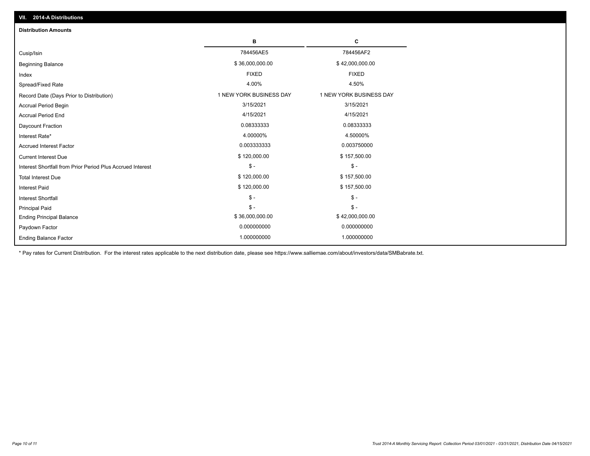| <b>Distribution Amounts</b>                                |                         |                         |
|------------------------------------------------------------|-------------------------|-------------------------|
|                                                            | в                       | С                       |
| Cusip/Isin                                                 | 784456AE5               | 784456AF2               |
| <b>Beginning Balance</b>                                   | \$36,000,000.00         | \$42,000,000.00         |
| Index                                                      | <b>FIXED</b>            | <b>FIXED</b>            |
| Spread/Fixed Rate                                          | 4.00%                   | 4.50%                   |
| Record Date (Days Prior to Distribution)                   | 1 NEW YORK BUSINESS DAY | 1 NEW YORK BUSINESS DAY |
| <b>Accrual Period Begin</b>                                | 3/15/2021               | 3/15/2021               |
| <b>Accrual Period End</b>                                  | 4/15/2021               | 4/15/2021               |
| Daycount Fraction                                          | 0.08333333              | 0.08333333              |
| Interest Rate*                                             | 4.00000%                | 4.50000%                |
| <b>Accrued Interest Factor</b>                             | 0.003333333             | 0.003750000             |
| <b>Current Interest Due</b>                                | \$120,000.00            | \$157,500.00            |
| Interest Shortfall from Prior Period Plus Accrued Interest | $\mathsf{\$}$ -         | $\mathsf{\$}$ -         |
| <b>Total Interest Due</b>                                  | \$120,000.00            | \$157,500.00            |
| <b>Interest Paid</b>                                       | \$120,000.00            | \$157,500.00            |
| <b>Interest Shortfall</b>                                  | $\frac{2}{3}$ -         | $\mathcal{S}$ -         |
| <b>Principal Paid</b>                                      | $\mathsf{\$}$ -         | $\mathcal{S}$ -         |
| <b>Ending Principal Balance</b>                            | \$36,000,000.00         | \$42,000,000.00         |
| Paydown Factor                                             | 0.000000000             | 0.000000000             |
| <b>Ending Balance Factor</b>                               | 1.000000000             | 1.000000000             |

\* Pay rates for Current Distribution. For the interest rates applicable to the next distribution date, please see https://www.salliemae.com/about/investors/data/SMBabrate.txt.

**VII. 2014-A Distributions**